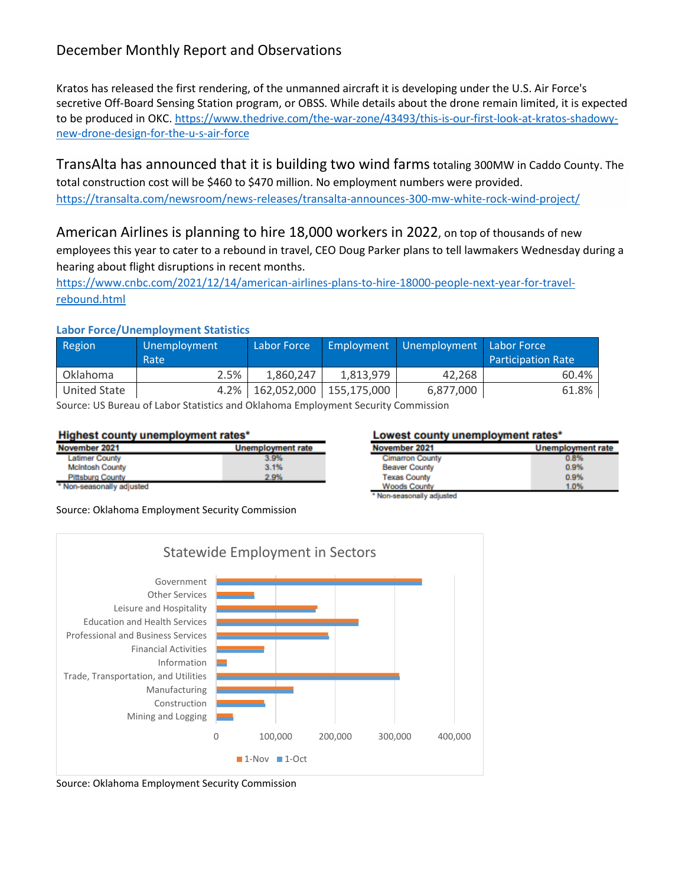# December Monthly Report and Observations

Kratos has released the first rendering, of the unmanned aircraft it is developing under the U.S. Air Force's secretive Off-Board Sensing Station program, or OBSS. While details about the drone remain limited, it is expected to be produced in OKC. [https://www.thedrive.com/the-war-zone/43493/this-is-our-first-look-at-kratos-shadowy](https://www.thedrive.com/the-war-zone/43493/this-is-our-first-look-at-kratos-shadowy-new-drone-design-for-the-u-s-air-force)[new-drone-design-for-the-u-s-air-force](https://www.thedrive.com/the-war-zone/43493/this-is-our-first-look-at-kratos-shadowy-new-drone-design-for-the-u-s-air-force)

TransAlta has announced that it is building two wind farmstotaling 300MW in Caddo County. The total construction cost will be \$460 to \$470 million. No employment numbers were provided. <https://transalta.com/newsroom/news-releases/transalta-announces-300-mw-white-rock-wind-project/>

American Airlines is planning to hire 18,000 workers in 2022, on top of thousands of new employees this year to cater to a rebound in travel, CEO Doug Parker plans to tell lawmakers Wednesday during a hearing about flight disruptions in recent months.

[https://www.cnbc.com/2021/12/14/american-airlines-plans-to-hire-18000-people-next-year-for-travel](https://www.cnbc.com/2021/12/14/american-airlines-plans-to-hire-18000-people-next-year-for-travel-rebound.html)[rebound.html](https://www.cnbc.com/2021/12/14/american-airlines-plans-to-hire-18000-people-next-year-for-travel-rebound.html)

#### **Labor Force/Unemployment Statistics**

| Region          | Unemployment<br>Rate | Labor Force |             | <b>Employment Unemployment Labor Force</b> | <b>Participation Rate</b> |  |
|-----------------|----------------------|-------------|-------------|--------------------------------------------|---------------------------|--|
| <b>Oklahoma</b> | 2.5%                 | 1.860.247   | 1,813,979   | 42,268                                     | 60.4%                     |  |
| United State    | 4.2%                 | 162.052.000 | 155.175.000 | 6,877,000                                  | 61.8%                     |  |

Source: US Bureau of Labor Statistics and Oklahoma Employment Security Commission

#### Highest county unemployment rates\*

| November 2021             | <b>Unemployment rate</b> |
|---------------------------|--------------------------|
| <b>Latimer County</b>     | 3.9%                     |
| <b>McIntosh County</b>    | 3.1%                     |
| <b>Pittsburg County</b>   | 2.9%                     |
| * Non-seasonally adjusted |                          |

#### Lowest county unemployment rates\*

| November 2021          | <b>Unemployment rate</b> |
|------------------------|--------------------------|
| <b>Cimarron County</b> | 0.8%                     |
| <b>Beaver County</b>   | 0.9%                     |
| <b>Texas County</b>    | 0.9%                     |
| <b>Woods County</b>    | 1.0%                     |

\* Non-seasonally adjusted

Source: Oklahoma Employment Security Commission



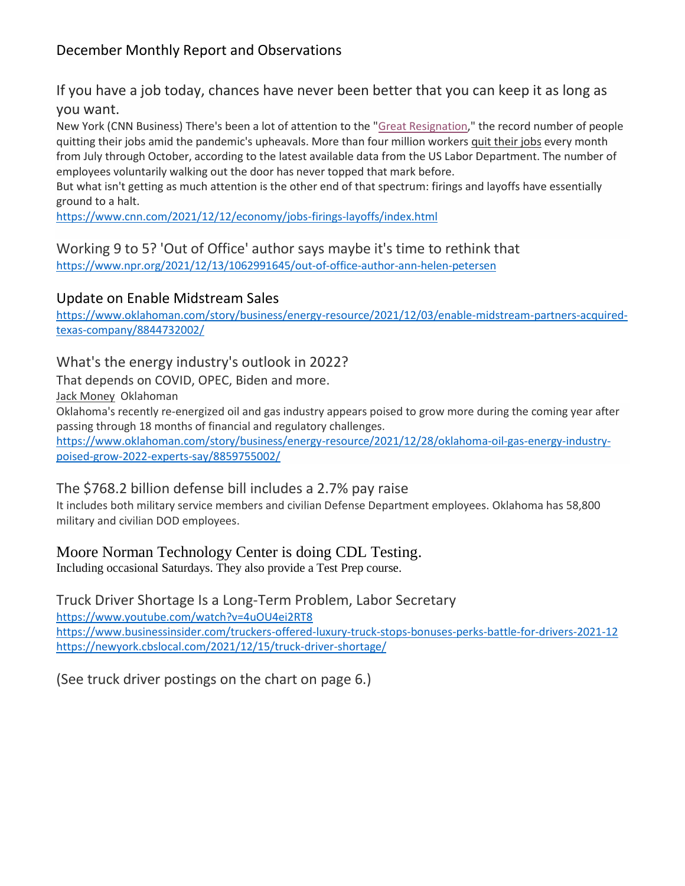# December Monthly Report and Observations

## If you have a job today, chances have never been better that you can keep it as long as you want.

New York (CNN Business) There's been a lot of attention to the ["Great Resignation,](http://www.cnn.com/2021/06/22/economy/job-shortage-workers/index.html)" the record number of people quitting their jobs amid the pandemic's upheavals. More than four million workers [quit their jobs](http://www.cnn.com/2021/10/12/economy/jolts-job-openings/index.html) every month from July through October, according to the latest available data from the US Labor Department. The number of employees voluntarily walking out the door has never topped that mark before.

But what isn't getting as much attention is the other end of that spectrum: firings and layoffs have essentially ground to a halt.

<https://www.cnn.com/2021/12/12/economy/jobs-firings-layoffs/index.html>

Working 9 to 5? 'Out of Office' author says maybe it's time to rethink that <https://www.npr.org/2021/12/13/1062991645/out-of-office-author-ann-helen-petersen>

#### Update on Enable Midstream Sales

[https://www.oklahoman.com/story/business/energy-resource/2021/12/03/enable-midstream-partners-acquired](https://www.oklahoman.com/story/business/energy-resource/2021/12/03/enable-midstream-partners-acquired-texas-company/8844732002/)[texas-company/8844732002/](https://www.oklahoman.com/story/business/energy-resource/2021/12/03/enable-midstream-partners-acquired-texas-company/8844732002/)

What's the energy industry's outlook in 2022?

That depends on COVID, OPEC, Biden and more.

[Jack Money](https://www.oklahoman.com/staff/4228556001/jack-money/) Oklahoman

Oklahoma's recently re-energized oil and gas industry appears poised to grow more during the coming year after passing through 18 months of financial and regulatory challenges.

[https://www.oklahoman.com/story/business/energy-resource/2021/12/28/oklahoma-oil-gas-energy-industry](https://www.oklahoman.com/story/business/energy-resource/2021/12/28/oklahoma-oil-gas-energy-industry-poised-grow-2022-experts-say/8859755002/)[poised-grow-2022-experts-say/8859755002/](https://www.oklahoman.com/story/business/energy-resource/2021/12/28/oklahoma-oil-gas-energy-industry-poised-grow-2022-experts-say/8859755002/)

#### The \$768.2 billion defense bill includes a 2.7% pay raise

It includes both military service members and civilian Defense Department employees. Oklahoma has 58,800 military and civilian DOD employees.

#### Moore Norman Technology Center is doing CDL Testing.

Including occasional Saturdays. They also provide a Test Prep course.

Truck Driver Shortage Is a Long-Term Problem, Labor Secretary <https://www.youtube.com/watch?v=4uOU4ei2RT8> <https://www.businessinsider.com/truckers-offered-luxury-truck-stops-bonuses-perks-battle-for-drivers-2021-12> <https://newyork.cbslocal.com/2021/12/15/truck-driver-shortage/>

(See truck driver postings on the chart on page 6.)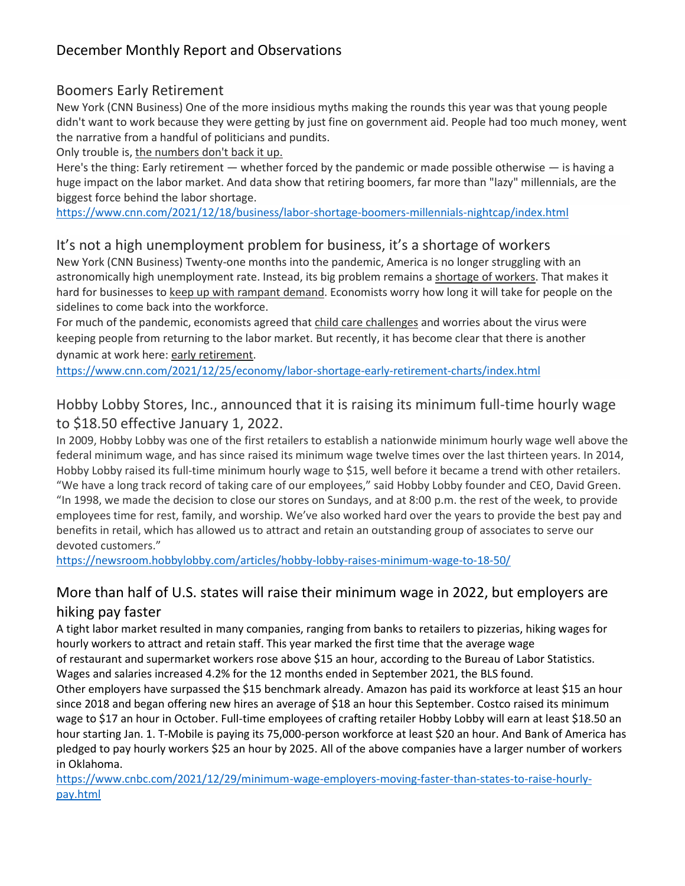# Boomers Early Retirement

New York (CNN Business) One of the more insidious myths making the rounds this year was that young people didn't want to work because they were getting by just fine on government aid. People had too much money, went the narrative from a handful of politicians and pundits.

Only trouble is, [the numbers don't back it up.](https://www.cnn.com/2021/12/15/economy/labor-force-retirement-great-resignation/index.html)

Here's the thing: Early retirement — whether forced by the pandemic or made possible otherwise — is having a huge impact on the labor market. And data show that retiring boomers, far more than "lazy" millennials, are the biggest force behind the labor shortage.

<https://www.cnn.com/2021/12/18/business/labor-shortage-boomers-millennials-nightcap/index.html>

# It's not a high unemployment problem for business, it's a shortage of workers

New York (CNN Business) Twenty-one months into the pandemic, America is no longer struggling with an astronomically high unemployment rate. Instead, its big problem remains a [shortage of workers.](https://www.cnn.com/2021/12/20/politics/biden-labor-shortage/index.html) That makes it hard for businesses to [keep up with rampant demand.](https://www.cnn.com/2021/12/08/economy/job-openings-quits-october/index.html) Economists worry how long it will take for people on the sidelines to come back into the workforce.

For much of the pandemic, economists agreed that [child care challenges](https://www.cnn.com/2021/05/27/economy/retail-workers-child-care-best-buy/index.html) and worries about the virus were keeping people from returning to the labor market. But recently, it has become clear that there is another dynamic at work here: [early retirement.](https://www.cnn.com/2021/12/15/economy/labor-force-retirement-great-resignation/index.html)

<https://www.cnn.com/2021/12/25/economy/labor-shortage-early-retirement-charts/index.html>

# Hobby Lobby Stores, Inc., announced that it is raising its minimum full-time hourly wage to \$18.50 effective January 1, 2022.

In 2009, Hobby Lobby was one of the first retailers to establish a nationwide minimum hourly wage well above the federal minimum wage, and has since raised its minimum wage twelve times over the last thirteen years. In 2014, Hobby Lobby raised its full-time minimum hourly wage to \$15, well before it became a trend with other retailers. "We have a long track record of taking care of our employees," said Hobby Lobby founder and CEO, David Green. "In 1998, we made the decision to close our stores on Sundays, and at 8:00 p.m. the rest of the week, to provide employees time for rest, family, and worship. We've also worked hard over the years to provide the best pay and benefits in retail, which has allowed us to attract and retain an outstanding group of associates to serve our devoted customers."

<https://newsroom.hobbylobby.com/articles/hobby-lobby-raises-minimum-wage-to-18-50/>

# More than half of U.S. states will raise their minimum wage in 2022, but employers are hiking pay faster

A tight labor market resulted in many companies, ranging from banks to retailers to pizzerias, hiking wages for hourly workers to attract and retain staff. This year marked the first time that the average wage of restaurant and supermarket workers rose above \$15 an hour, according to the Bureau of Labor Statistics.

Wages and salaries increased 4.2% for the 12 months ended in September 2021, the BLS found.

Other employers have surpassed the \$15 benchmark already. Amazon has paid its workforce at least \$15 an hour since 2018 and began offering new hires an average of \$18 an hour this September. Costco raised its minimum wage to \$17 an hour in October. Full-time employees of crafting retailer Hobby Lobby will earn at least \$18.50 an hour starting Jan. 1. T-Mobile is paying its 75,000-person workforce at least \$20 an hour. And Bank of America has pledged to pay hourly workers \$25 an hour by 2025. All of the above companies have a larger number of workers in Oklahoma.

[https://www.cnbc.com/2021/12/29/minimum-wage-employers-moving-faster-than-states-to-raise-hourly](https://www.cnbc.com/2021/12/29/minimum-wage-employers-moving-faster-than-states-to-raise-hourly-pay.html)[pay.html](https://www.cnbc.com/2021/12/29/minimum-wage-employers-moving-faster-than-states-to-raise-hourly-pay.html)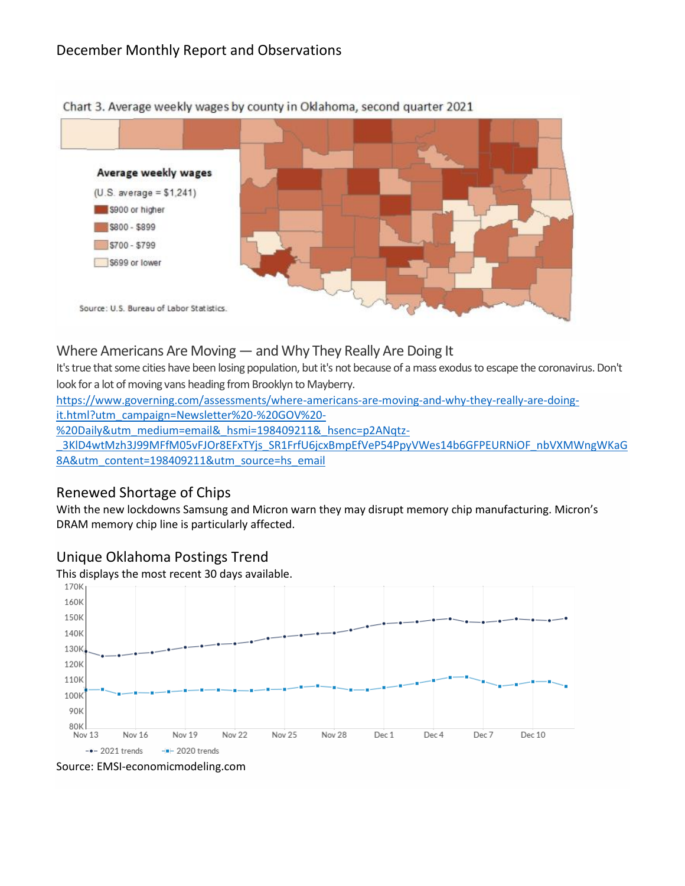

Chart 3. Average weekly wages by county in Oklahoma, second quarter 2021

### Where Americans Are Moving — and Why They Really Are Doing It

It's true that some cities have been losing population, but it's not because of a mass exodus to escape the coronavirus. Don't look for a lot of moving vans heading from Brooklyn to Mayberry.

[https://www.governing.com/assessments/where-americans-are-moving-and-why-they-really-are-doing-](https://www.governing.com/assessments/where-americans-are-moving-and-why-they-really-are-doing-it.html?utm_campaign=Newsletter%20-%20GOV%20-%20Daily&utm_medium=email&_hsmi=198409211&_hsenc=p2ANqtz-_3KlD4wtMzh3J99MFfM05vFJOr8EFxTYjs_SR1FrfU6jcxBmpEfVeP54PpyVWes14b6GFPEURNiOF_nbVXMWngWKaG8A&utm_content=198409211&utm_source=hs_email)

[it.html?utm\\_campaign=Newsletter%20-%20GOV%20-](https://www.governing.com/assessments/where-americans-are-moving-and-why-they-really-are-doing-it.html?utm_campaign=Newsletter%20-%20GOV%20-%20Daily&utm_medium=email&_hsmi=198409211&_hsenc=p2ANqtz-_3KlD4wtMzh3J99MFfM05vFJOr8EFxTYjs_SR1FrfU6jcxBmpEfVeP54PpyVWes14b6GFPEURNiOF_nbVXMWngWKaG8A&utm_content=198409211&utm_source=hs_email)

[%20Daily&utm\\_medium=email&\\_hsmi=198409211&\\_hsenc=p2ANqtz-](https://www.governing.com/assessments/where-americans-are-moving-and-why-they-really-are-doing-it.html?utm_campaign=Newsletter%20-%20GOV%20-%20Daily&utm_medium=email&_hsmi=198409211&_hsenc=p2ANqtz-_3KlD4wtMzh3J99MFfM05vFJOr8EFxTYjs_SR1FrfU6jcxBmpEfVeP54PpyVWes14b6GFPEURNiOF_nbVXMWngWKaG8A&utm_content=198409211&utm_source=hs_email)

3KlD4wtMzh3J99MFfM05vFJOr8EFxTYjs\_SR1FrfU6jcxBmpEfVeP54PpyVWes14b6GFPEURNiOF\_nbVXMWngWKaG [8A&utm\\_content=198409211&utm\\_source=hs\\_email](https://www.governing.com/assessments/where-americans-are-moving-and-why-they-really-are-doing-it.html?utm_campaign=Newsletter%20-%20GOV%20-%20Daily&utm_medium=email&_hsmi=198409211&_hsenc=p2ANqtz-_3KlD4wtMzh3J99MFfM05vFJOr8EFxTYjs_SR1FrfU6jcxBmpEfVeP54PpyVWes14b6GFPEURNiOF_nbVXMWngWKaG8A&utm_content=198409211&utm_source=hs_email)

## Renewed Shortage of Chips

With the new lockdowns Samsung and Micron warn they may disrupt memory chip manufacturing. Micron's DRAM memory chip line is particularly affected.

#### Unique Oklahoma Postings Trend

This displays the most recent 30 days available.



Source: EMSI-economicmodeling.com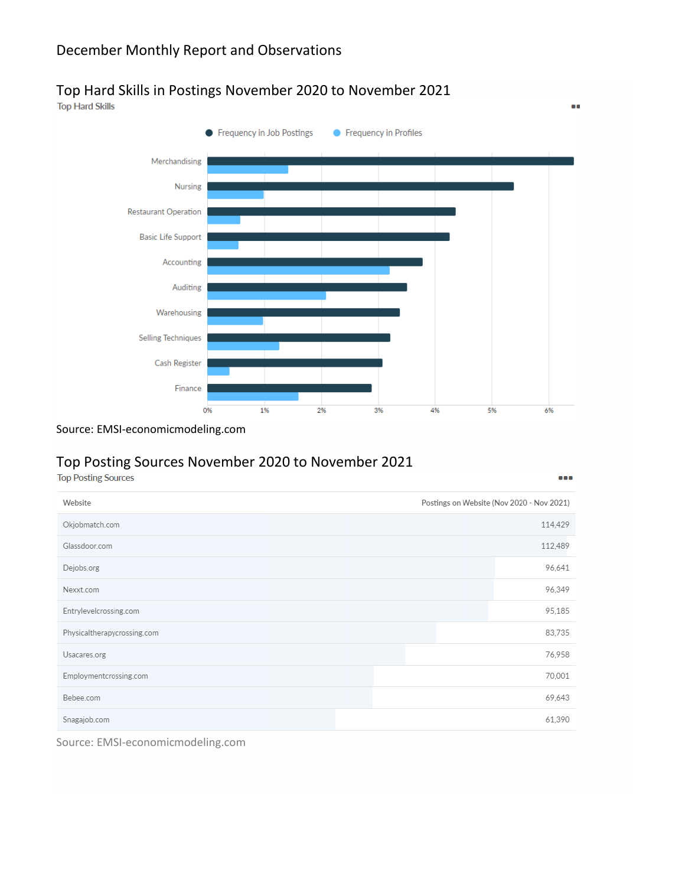## December Monthly Report and Observations

# Top Hard Skills in Postings November 2020 to November 2021<br>Top Hard Skills





 $\bullet$ 

...

Source: EMSI-economicmodeling.com

# Top Posting Sources November 2020 to November 2021<br>Top Posting Sources

| Postings on Website (Nov 2020 - Nov 2021)<br>Website |  |         |
|------------------------------------------------------|--|---------|
| Okjobmatch.com                                       |  | 114,429 |
| Glassdoor.com                                        |  | 112,489 |
| Dejobs.org                                           |  | 96,641  |
| Nexxt.com                                            |  | 96,349  |
| Entrylevelcrossing.com                               |  | 95,185  |
| Physicaltherapycrossing.com                          |  | 83,735  |
| Usacares.org                                         |  | 76,958  |
| Employmentcrossing.com                               |  | 70,001  |
| Bebee.com                                            |  | 69,643  |
| Snagajob.com                                         |  | 61,390  |

Source: EMSI-economicmodeling.com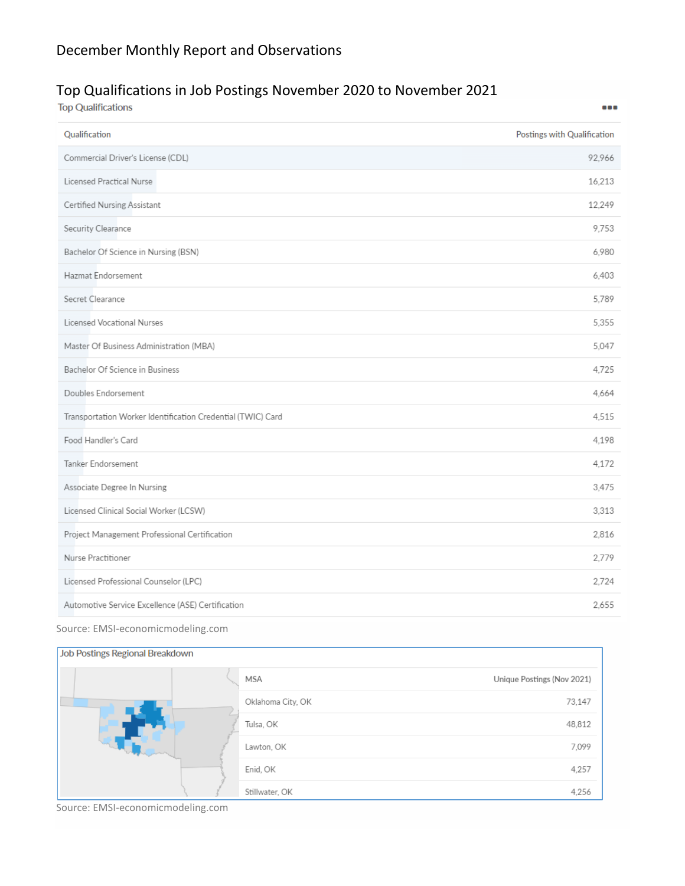# Top Qualifications in Job Postings November 2020 to November 2021

| <b>Top Qualifications</b>                                   | 888                         |
|-------------------------------------------------------------|-----------------------------|
| Qualification                                               | Postings with Qualification |
| Commercial Driver's License (CDL)                           | 92,966                      |
| Licensed Practical Nurse                                    | 16,213                      |
| Certified Nursing Assistant                                 | 12,249                      |
| Security Clearance                                          | 9,753                       |
| Bachelor Of Science in Nursing (BSN)                        | 6,980                       |
| Hazmat Endorsement                                          | 6,403                       |
| Secret Clearance                                            | 5.789                       |
| Licensed Vocational Nurses                                  | 5.355                       |
| Master Of Business Administration (MBA)                     | 5.047                       |
| Bachelor Of Science in Business                             | 4.725                       |
| Doubles Endorsement                                         | 4.664                       |
| Transportation Worker Identification Credential (TWIC) Card | 4.515                       |
| Food Handler's Card                                         | 4.198                       |
| Tanker Endorsement                                          | 4,172                       |
| Associate Degree In Nursing                                 | 3,475                       |
| Licensed Clinical Social Worker (LCSW)                      | 3,313                       |
| Project Management Professional Certification               | 2,816                       |
| Nurse Practitioner                                          | 2,779                       |
| Licensed Professional Counselor (LPC)                       | 2.724                       |
| Automotive Service Excellence (ASE) Certification           | 2,655                       |

Source: EMSI-economicmodeling.com

#### Job Postings Regional Breakdown

|  |  | Unique Postings (Nov 2021)<br>MSA |        |
|--|--|-----------------------------------|--------|
|  |  | Oklahoma City, OK                 | 73,147 |
|  |  | Tulsa, OK                         | 48,812 |
|  |  | Lawton, OK                        | 7,099  |
|  |  | Enid, OK                          | 4,257  |
|  |  | Stillwater, OK                    | 4,256  |

Source: EMSI-economicmodeling.com